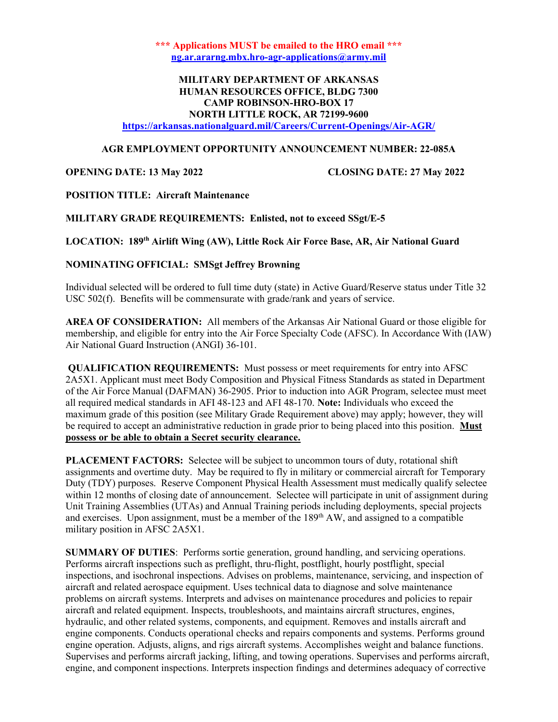\*\*\* Applications MUST be emailed to the HRO email \*\*\* ng.ar.ararng.mbx.hro-agr-applications@army.mil

## MILITARY DEPARTMENT OF ARKANSAS HUMAN RESOURCES OFFICE, BLDG 7300 CAMP ROBINSON-HRO-BOX 17 NORTH LITTLE ROCK, AR 72199-9600

https://arkansas.nationalguard.mil/Careers/Current-Openings/Air-AGR/

### AGR EMPLOYMENT OPPORTUNITY ANNOUNCEMENT NUMBER: 22-085A

OPENING DATE: 13 May 2022 CLOSING DATE: 27 May 2022

POSITION TITLE: Aircraft Maintenance

MILITARY GRADE REQUIREMENTS: Enlisted, not to exceed SSgt/E-5

LOCATION: 189th Airlift Wing (AW), Little Rock Air Force Base, AR, Air National Guard

### NOMINATING OFFICIAL: SMSgt Jeffrey Browning

Individual selected will be ordered to full time duty (state) in Active Guard/Reserve status under Title 32 USC 502(f). Benefits will be commensurate with grade/rank and years of service.

AREA OF CONSIDERATION: All members of the Arkansas Air National Guard or those eligible for membership, and eligible for entry into the Air Force Specialty Code (AFSC). In Accordance With (IAW) Air National Guard Instruction (ANGI) 36-101.

QUALIFICATION REQUIREMENTS: Must possess or meet requirements for entry into AFSC 2A5X1. Applicant must meet Body Composition and Physical Fitness Standards as stated in Department of the Air Force Manual (DAFMAN) 36-2905. Prior to induction into AGR Program, selectee must meet all required medical standards in AFI 48-123 and AFI 48-170. Note: Individuals who exceed the maximum grade of this position (see Military Grade Requirement above) may apply; however, they will be required to accept an administrative reduction in grade prior to being placed into this position. Must possess or be able to obtain a Secret security clearance.

PLACEMENT FACTORS: Selectee will be subject to uncommon tours of duty, rotational shift assignments and overtime duty. May be required to fly in military or commercial aircraft for Temporary Duty (TDY) purposes. Reserve Component Physical Health Assessment must medically qualify selectee within 12 months of closing date of announcement. Selectee will participate in unit of assignment during Unit Training Assemblies (UTAs) and Annual Training periods including deployments, special projects and exercises. Upon assignment, must be a member of the 189<sup>th</sup> AW, and assigned to a compatible military position in AFSC 2A5X1.

SUMMARY OF DUTIES: Performs sortie generation, ground handling, and servicing operations. Performs aircraft inspections such as preflight, thru-flight, postflight, hourly postflight, special inspections, and isochronal inspections. Advises on problems, maintenance, servicing, and inspection of aircraft and related aerospace equipment. Uses technical data to diagnose and solve maintenance problems on aircraft systems. Interprets and advises on maintenance procedures and policies to repair aircraft and related equipment. Inspects, troubleshoots, and maintains aircraft structures, engines, hydraulic, and other related systems, components, and equipment. Removes and installs aircraft and engine components. Conducts operational checks and repairs components and systems. Performs ground engine operation. Adjusts, aligns, and rigs aircraft systems. Accomplishes weight and balance functions. Supervises and performs aircraft jacking, lifting, and towing operations. Supervises and performs aircraft, engine, and component inspections. Interprets inspection findings and determines adequacy of corrective